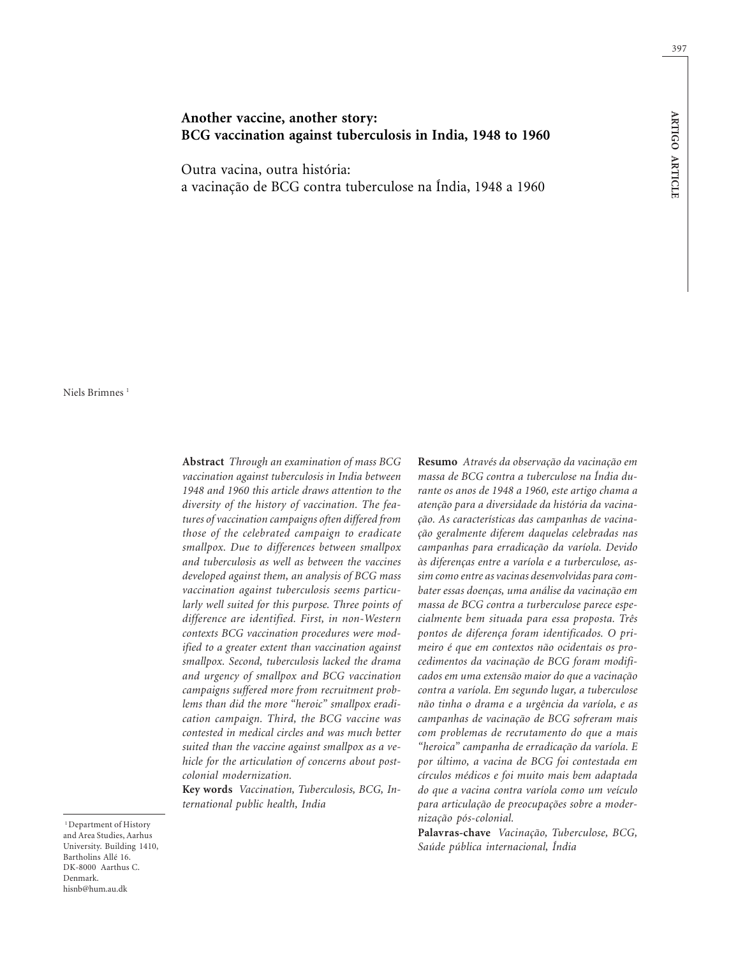# Another vaccine, another story: BCG vaccination against tuberculosis in India, 1948 to 1960

Outra vacina, outra história: a vacinação de BCG contra tuberculose na Índia, 1948 a 1960

Niels Brimnes<sup>1</sup>

Key words Vaccination, Tuberculosis, BCG, International public health, India

Resumo Através da observação da vacinação em massa de BCG contra a tuberculose na Índia durante os anos de 1948 a 1960, este artigo chama a atenção para a diversidade da história da vacinação. As características das campanhas de vacinação geralmente diferem daquelas celebradas nas campanhas para erradicação da varíola. Devido às diferenças entre a varíola e a turberculose, assim como entre as vacinas desenvolvidas para combater essas doenças, uma análise da vacinação em massa de BCG contra a turberculose parece especialmente bem situada para essa proposta. Três pontos de diferença foram identificados. O primeiro é que em contextos não ocidentais os procedimentos da vacinação de BCG foram modificados em uma extensão maior do que a vacinação contra a varíola. Em segundo lugar, a tuberculose não tinha o drama e a urgência da varíola, e as campanhas de vacinação de BCG sofreram mais com problemas de recrutamento do que a mais "heroica" campanha de erradicação da varíola. E por último, a vacina de BCG foi contestada em círculos médicos e foi muito mais bem adaptada do que a vacina contra varíola como um veículo para articulação de preocupações sobre a modernização pós-colonial.

Palavras-chave Vacinação, Tuberculose, BCG, Saúde pública internacional, Índia

<sup>1</sup>Department of History and Area Studies, Aarhus University. Building 1410, Bartholins Allé 16. DK-8000 Aarthus C. Denmark. hisnb@hum.au.dk

Abstract Through an examination of mass BCG vaccination against tuberculosis in India between 1948 and 1960 this article draws attention to the diversity of the history of vaccination. The features of vaccination campaigns often differed from those of the celebrated campaign to eradicate smallpox. Due to differences between smallpox and tuberculosis as well as between the vaccines developed against them, an analysis of BCG mass vaccination against tuberculosis seems particularly well suited for this purpose. Three points of difference are identified. First, in non-Western contexts BCG vaccination procedures were modified to a greater extent than vaccination against smallpox. Second, tuberculosis lacked the drama and urgency of smallpox and BCG vaccination campaigns suffered more from recruitment problems than did the more "heroic" smallpox eradication campaign. Third, the BCG vaccine was contested in medical circles and was much better suited than the vaccine against smallpox as a vehicle for the articulation of concerns about postcolonial modernization.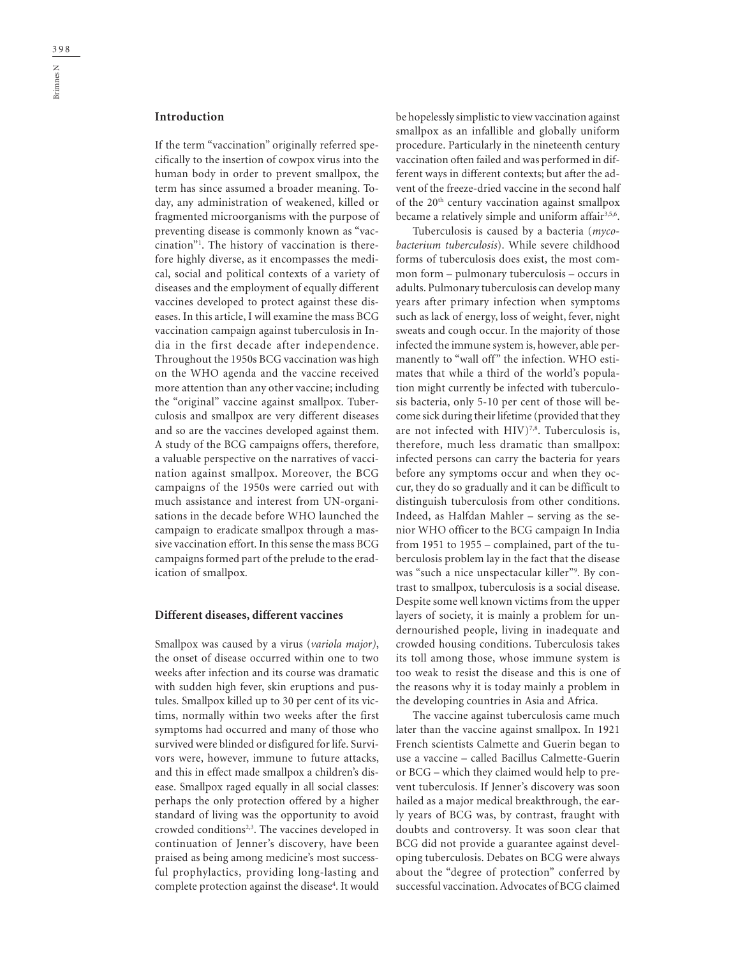### Introduction

If the term "vaccination" originally referred specifically to the insertion of cowpox virus into the human body in order to prevent smallpox, the term has since assumed a broader meaning. Today, any administration of weakened, killed or fragmented microorganisms with the purpose of preventing disease is commonly known as "vaccination"<sup>1</sup> . The history of vaccination is therefore highly diverse, as it encompasses the medical, social and political contexts of a variety of diseases and the employment of equally different vaccines developed to protect against these diseases. In this article, I will examine the mass BCG vaccination campaign against tuberculosis in India in the first decade after independence. Throughout the 1950s BCG vaccination was high on the WHO agenda and the vaccine received more attention than any other vaccine; including the "original" vaccine against smallpox. Tuberculosis and smallpox are very different diseases and so are the vaccines developed against them. A study of the BCG campaigns offers, therefore, a valuable perspective on the narratives of vaccination against smallpox. Moreover, the BCG campaigns of the 1950s were carried out with much assistance and interest from UN-organisations in the decade before WHO launched the campaign to eradicate smallpox through a massive vaccination effort. In this sense the mass BCG campaigns formed part of the prelude to the eradication of smallpox.

### Different diseases, different vaccines

Smallpox was caused by a virus (variola major), the onset of disease occurred within one to two weeks after infection and its course was dramatic with sudden high fever, skin eruptions and pustules. Smallpox killed up to 30 per cent of its victims, normally within two weeks after the first symptoms had occurred and many of those who survived were blinded or disfigured for life. Survivors were, however, immune to future attacks, and this in effect made smallpox a children's disease. Smallpox raged equally in all social classes: perhaps the only protection offered by a higher standard of living was the opportunity to avoid crowded conditions<sup>2,3</sup>. The vaccines developed in continuation of Jenner's discovery, have been praised as being among medicine's most successful prophylactics, providing long-lasting and complete protection against the disease<sup>4</sup>. It would

be hopelessly simplistic to view vaccination against smallpox as an infallible and globally uniform procedure. Particularly in the nineteenth century vaccination often failed and was performed in different ways in different contexts; but after the advent of the freeze-dried vaccine in the second half of the 20<sup>th</sup> century vaccination against smallpox became a relatively simple and uniform affair<sup>3,5,6</sup>.

Tuberculosis is caused by a bacteria (mycobacterium tuberculosis). While severe childhood forms of tuberculosis does exist, the most common form – pulmonary tuberculosis – occurs in adults. Pulmonary tuberculosis can develop many years after primary infection when symptoms such as lack of energy, loss of weight, fever, night sweats and cough occur. In the majority of those infected the immune system is, however, able permanently to "wall off" the infection. WHO estimates that while a third of the world's population might currently be infected with tuberculosis bacteria, only 5-10 per cent of those will become sick during their lifetime (provided that they are not infected with HIV)<sup>7,8</sup>. Tuberculosis is, therefore, much less dramatic than smallpox: infected persons can carry the bacteria for years before any symptoms occur and when they occur, they do so gradually and it can be difficult to distinguish tuberculosis from other conditions. Indeed, as Halfdan Mahler – serving as the senior WHO officer to the BCG campaign In India from 1951 to 1955 – complained, part of the tuberculosis problem lay in the fact that the disease was "such a nice unspectacular killer"<sup>9</sup> . By contrast to smallpox, tuberculosis is a social disease. Despite some well known victims from the upper layers of society, it is mainly a problem for undernourished people, living in inadequate and crowded housing conditions. Tuberculosis takes its toll among those, whose immune system is too weak to resist the disease and this is one of the reasons why it is today mainly a problem in the developing countries in Asia and Africa.

The vaccine against tuberculosis came much later than the vaccine against smallpox. In 1921 French scientists Calmette and Guerin began to use a vaccine – called Bacillus Calmette-Guerin or BCG – which they claimed would help to prevent tuberculosis. If Jenner's discovery was soon hailed as a major medical breakthrough, the early years of BCG was, by contrast, fraught with doubts and controversy. It was soon clear that BCG did not provide a guarantee against developing tuberculosis. Debates on BCG were always about the "degree of protection" conferred by successful vaccination. Advocates of BCG claimed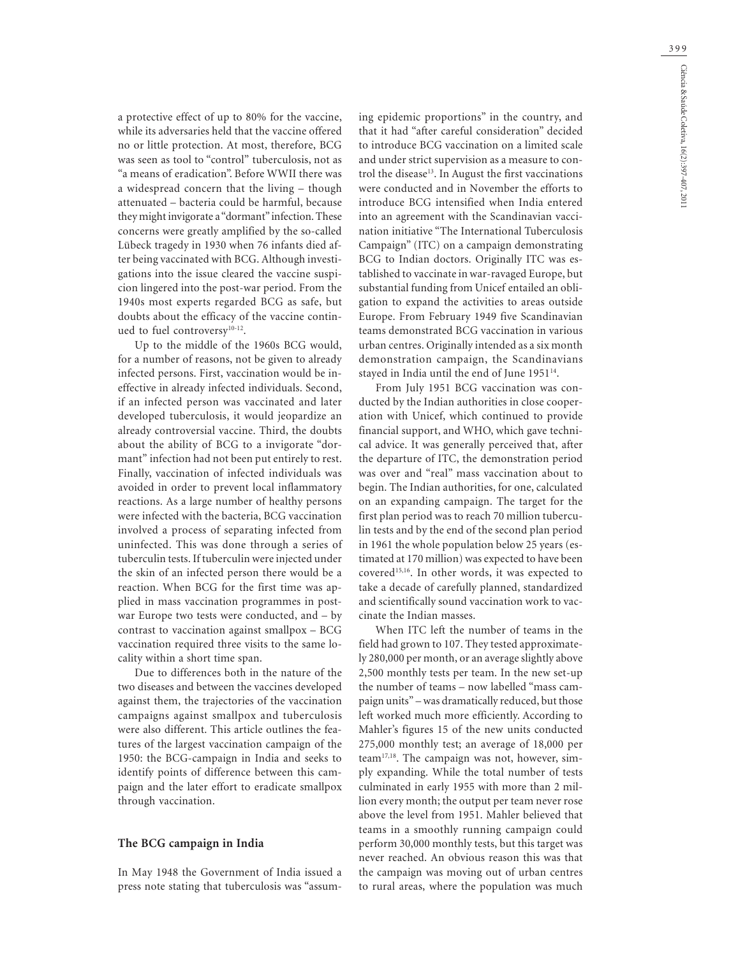a protective effect of up to 80% for the vaccine, while its adversaries held that the vaccine offered no or little protection. At most, therefore, BCG was seen as tool to "control" tuberculosis, not as "a means of eradication". Before WWII there was a widespread concern that the living – though attenuated – bacteria could be harmful, because they might invigorate a "dormant" infection. These concerns were greatly amplified by the so-called Lübeck tragedy in 1930 when 76 infants died after being vaccinated with BCG. Although investigations into the issue cleared the vaccine suspicion lingered into the post-war period. From the 1940s most experts regarded BCG as safe, but doubts about the efficacy of the vaccine continued to fuel controversy<sup>10-12</sup>.

Up to the middle of the 1960s BCG would, for a number of reasons, not be given to already infected persons. First, vaccination would be ineffective in already infected individuals. Second, if an infected person was vaccinated and later developed tuberculosis, it would jeopardize an already controversial vaccine. Third, the doubts about the ability of BCG to a invigorate "dormant" infection had not been put entirely to rest. Finally, vaccination of infected individuals was avoided in order to prevent local inflammatory reactions. As a large number of healthy persons were infected with the bacteria, BCG vaccination involved a process of separating infected from uninfected. This was done through a series of tuberculin tests. If tuberculin were injected under the skin of an infected person there would be a reaction. When BCG for the first time was applied in mass vaccination programmes in postwar Europe two tests were conducted, and – by contrast to vaccination against smallpox – BCG vaccination required three visits to the same locality within a short time span.

Due to differences both in the nature of the two diseases and between the vaccines developed against them, the trajectories of the vaccination campaigns against smallpox and tuberculosis were also different. This article outlines the features of the largest vaccination campaign of the 1950: the BCG-campaign in India and seeks to identify points of difference between this campaign and the later effort to eradicate smallpox through vaccination.

# The BCG campaign in India

In May 1948 the Government of India issued a press note stating that tuberculosis was "assum-

ing epidemic proportions" in the country, and that it had "after careful consideration" decided to introduce BCG vaccination on a limited scale and under strict supervision as a measure to control the disease<sup>13</sup>. In August the first vaccinations were conducted and in November the efforts to introduce BCG intensified when India entered into an agreement with the Scandinavian vaccination initiative "The International Tuberculosis Campaign" (ITC) on a campaign demonstrating BCG to Indian doctors. Originally ITC was established to vaccinate in war-ravaged Europe, but substantial funding from Unicef entailed an obligation to expand the activities to areas outside Europe. From February 1949 five Scandinavian teams demonstrated BCG vaccination in various urban centres. Originally intended as a six month demonstration campaign, the Scandinavians stayed in India until the end of June 1951<sup>14</sup>.

From July 1951 BCG vaccination was conducted by the Indian authorities in close cooperation with Unicef, which continued to provide financial support, and WHO, which gave technical advice. It was generally perceived that, after the departure of ITC, the demonstration period was over and "real" mass vaccination about to begin. The Indian authorities, for one, calculated on an expanding campaign. The target for the first plan period was to reach 70 million tuberculin tests and by the end of the second plan period in 1961 the whole population below 25 years (estimated at 170 million) was expected to have been covered<sup>15,16</sup>. In other words, it was expected to take a decade of carefully planned, standardized and scientifically sound vaccination work to vaccinate the Indian masses.

When ITC left the number of teams in the field had grown to 107. They tested approximately 280,000 per month, or an average slightly above 2,500 monthly tests per team. In the new set-up the number of teams – now labelled "mass campaign units" – was dramatically reduced, but those left worked much more efficiently. According to Mahler's figures 15 of the new units conducted 275,000 monthly test; an average of 18,000 per team<sup>17,18</sup>. The campaign was not, however, simply expanding. While the total number of tests culminated in early 1955 with more than 2 million every month; the output per team never rose above the level from 1951. Mahler believed that teams in a smoothly running campaign could perform 30,000 monthly tests, but this target was never reached. An obvious reason this was that the campaign was moving out of urban centres to rural areas, where the population was much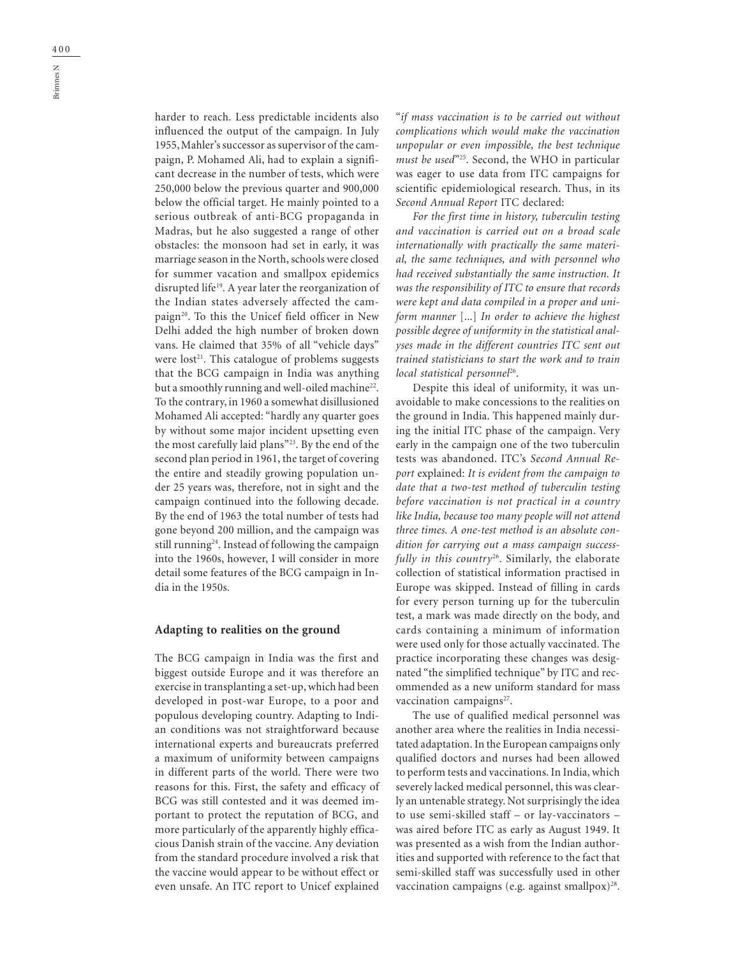harder to reach. Less predictable incidents also influenced the output of the campaign. In July 1955, Mahler's successor as supervisor of the campaign, P. Mohamed Ali, had to explain a significant decrease in the number of tests, which were 250,000 below the previous quarter and 900,000 below the official target. He mainly pointed to a serious outbreak of anti-BCG propaganda in Madras, but he also suggested a range of other obstacles: the monsoon had set in early, it was marriage season in the North, schools were closed for summer vacation and smallpox epidemics disrupted life<sup>19</sup>. A year later the reorganization of the Indian states adversely affected the campaign<sup>20</sup>. To this the Unicef field officer in New Delhi added the high number of broken down vans. He claimed that 35% of all "vehicle days" were  $lost^{21}$ . This catalogue of problems suggests that the BCG campaign in India was anything but a smoothly running and well-oiled machine<sup>22</sup>. To the contrary, in 1960 a somewhat disillusioned Mohamed Ali accepted: "hardly any quarter goes by without some major incident upsetting even the most carefully laid plans"<sup>23</sup>. By the end of the second plan period in 1961, the target of covering the entire and steadily growing population under 25 years was, therefore, not in sight and the campaign continued into the following decade. By the end of 1963 the total number of tests had gone beyond 200 million, and the campaign was still running<sup>24</sup>. Instead of following the campaign into the 1960s, however, I will consider in more detail some features of the BCG campaign in India in the 1950s.

#### Adapting to realities on the ground

The BCG campaign in India was the first and biggest outside Europe and it was therefore an exercise in transplanting a set-up, which had been developed in post-war Europe, to a poor and populous developing country. Adapting to Indian conditions was not straightforward because international experts and bureaucrats preferred a maximum of uniformity between campaigns in different parts of the world. There were two reasons for this. First, the safety and efficacy of BCG was still contested and it was deemed important to protect the reputation of BCG, and more particularly of the apparently highly efficacious Danish strain of the vaccine. Any deviation from the standard procedure involved a risk that the vaccine would appear to be without effect or even unsafe. An ITC report to Unicef explained

"if mass vaccination is to be carried out without complications which would make the vaccination unpopular or even impossible, the best technique must be used"<sup>25</sup>. Second, the WHO in particular was eager to use data from ITC campaigns for scientific epidemiological research. Thus, in its Second Annual Report ITC declared:

For the first time in history, tuberculin testing and vaccination is carried out on a broad scale internationally with practically the same material, the same techniques, and with personnel who had received substantially the same instruction. It was the responsibility of ITC to ensure that records were kept and data compiled in a proper and uniform manner [...] In order to achieve the highest possible degree of uniformity in the statistical analyses made in the different countries ITC sent out trained statisticians to start the work and to train local statistical personnel<sup>26</sup>.

Despite this ideal of uniformity, it was unavoidable to make concessions to the realities on the ground in India. This happened mainly during the initial ITC phase of the campaign. Very early in the campaign one of the two tuberculin tests was abandoned. ITC's Second Annual Report explained: It is evident from the campaign to date that a two-test method of tuberculin testing before vaccination is not practical in a country like India, because too many people will not attend three times. A one-test method is an absolute condition for carrying out a mass campaign successfully in this country<sup>26</sup>. Similarly, the elaborate collection of statistical information practised in Europe was skipped. Instead of filling in cards for every person turning up for the tuberculin test, a mark was made directly on the body, and cards containing a minimum of information were used only for those actually vaccinated. The practice incorporating these changes was designated "the simplified technique" by ITC and recommended as a new uniform standard for mass vaccination campaigns $27$ .

The use of qualified medical personnel was another area where the realities in India necessitated adaptation. In the European campaigns only qualified doctors and nurses had been allowed to perform tests and vaccinations. In India, which severely lacked medical personnel, this was clearly an untenable strategy. Not surprisingly the idea to use semi-skilled staff – or lay-vaccinators – was aired before ITC as early as August 1949. It was presented as a wish from the Indian authorities and supported with reference to the fact that semi-skilled staff was successfully used in other vaccination campaigns (e.g. against smallpox) $^{28}$ .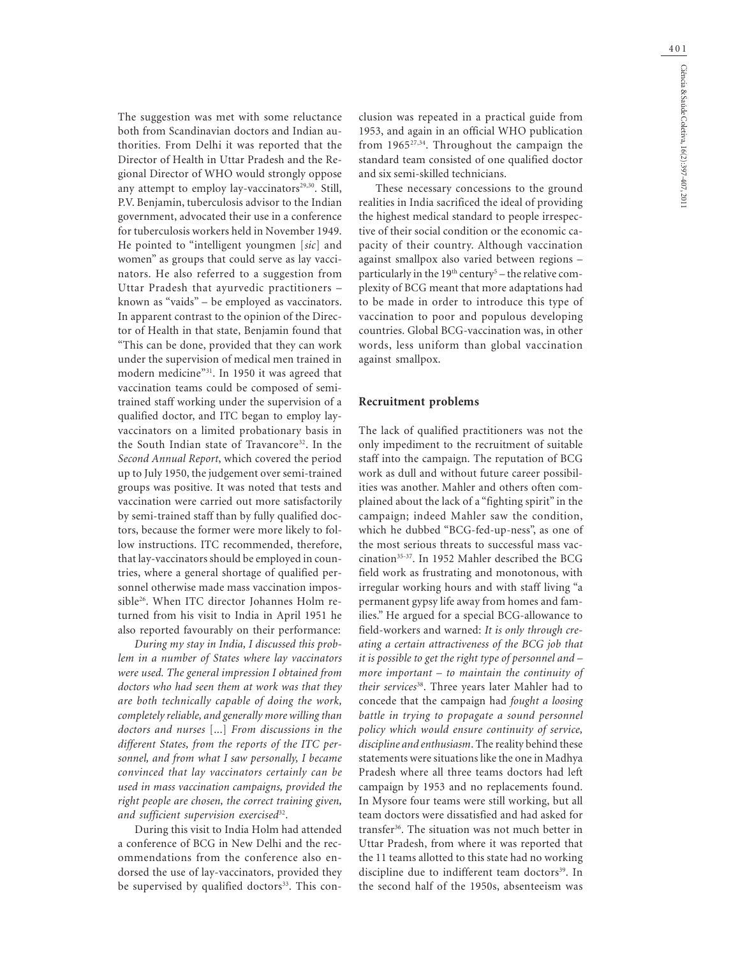The suggestion was met with some reluctance both from Scandinavian doctors and Indian authorities. From Delhi it was reported that the Director of Health in Uttar Pradesh and the Regional Director of WHO would strongly oppose any attempt to employ lay-vaccinators<sup>29,30</sup>. Still, P.V. Benjamin, tuberculosis advisor to the Indian government, advocated their use in a conference for tuberculosis workers held in November 1949. He pointed to "intelligent youngmen [sic] and women" as groups that could serve as lay vaccinators. He also referred to a suggestion from Uttar Pradesh that ayurvedic practitioners – known as "vaids" – be employed as vaccinators. In apparent contrast to the opinion of the Director of Health in that state, Benjamin found that "This can be done, provided that they can work under the supervision of medical men trained in modern medicine"<sup>31</sup>. In 1950 it was agreed that vaccination teams could be composed of semitrained staff working under the supervision of a qualified doctor, and ITC began to employ layvaccinators on a limited probationary basis in the South Indian state of Travancore<sup>32</sup>. In the Second Annual Report, which covered the period up to July 1950, the judgement over semi-trained groups was positive. It was noted that tests and vaccination were carried out more satisfactorily by semi-trained staff than by fully qualified doctors, because the former were more likely to follow instructions. ITC recommended, therefore, that lay-vaccinators should be employed in countries, where a general shortage of qualified personnel otherwise made mass vaccination impossible26. When ITC director Johannes Holm returned from his visit to India in April 1951 he also reported favourably on their performance:

During my stay in India, I discussed this problem in a number of States where lay vaccinators were used. The general impression I obtained from doctors who had seen them at work was that they are both technically capable of doing the work, completely reliable, and generally more willing than doctors and nurses [...] From discussions in the different States, from the reports of the ITC personnel, and from what I saw personally, I became convinced that lay vaccinators certainly can be used in mass vaccination campaigns, provided the right people are chosen, the correct training given, and sufficient supervision exercised<sup>32</sup>.

During this visit to India Holm had attended a conference of BCG in New Delhi and the recommendations from the conference also endorsed the use of lay-vaccinators, provided they be supervised by qualified doctors<sup>33</sup>. This con-

clusion was repeated in a practical guide from 1953, and again in an official WHO publication from 1965<sup>27,34</sup>. Throughout the campaign the standard team consisted of one qualified doctor and six semi-skilled technicians.

These necessary concessions to the ground realities in India sacrificed the ideal of providing the highest medical standard to people irrespective of their social condition or the economic capacity of their country. Although vaccination against smallpox also varied between regions – particularly in the 19<sup>th</sup> century<sup>5</sup> – the relative complexity of BCG meant that more adaptations had to be made in order to introduce this type of vaccination to poor and populous developing countries. Global BCG-vaccination was, in other words, less uniform than global vaccination against smallpox.

#### Recruitment problems

The lack of qualified practitioners was not the only impediment to the recruitment of suitable staff into the campaign. The reputation of BCG work as dull and without future career possibilities was another. Mahler and others often complained about the lack of a "fighting spirit" in the campaign; indeed Mahler saw the condition, which he dubbed "BCG-fed-up-ness", as one of the most serious threats to successful mass vaccination<sup>35-37</sup>. In 1952 Mahler described the BCG field work as frustrating and monotonous, with irregular working hours and with staff living "a permanent gypsy life away from homes and families." He argued for a special BCG-allowance to field-workers and warned: It is only through creating a certain attractiveness of the BCG job that it is possible to get the right type of personnel and – more important – to maintain the continuity of their services<sup>38</sup>. Three years later Mahler had to concede that the campaign had fought a loosing battle in trying to propagate a sound personnel policy which would ensure continuity of service, discipline and enthusiasm. The reality behind these statements were situations like the one in Madhya Pradesh where all three teams doctors had left campaign by 1953 and no replacements found. In Mysore four teams were still working, but all team doctors were dissatisfied and had asked for transfer<sup>36</sup>. The situation was not much better in Uttar Pradesh, from where it was reported that the 11 teams allotted to this state had no working discipline due to indifferent team doctors<sup>39</sup>. In the second half of the 1950s, absenteeism was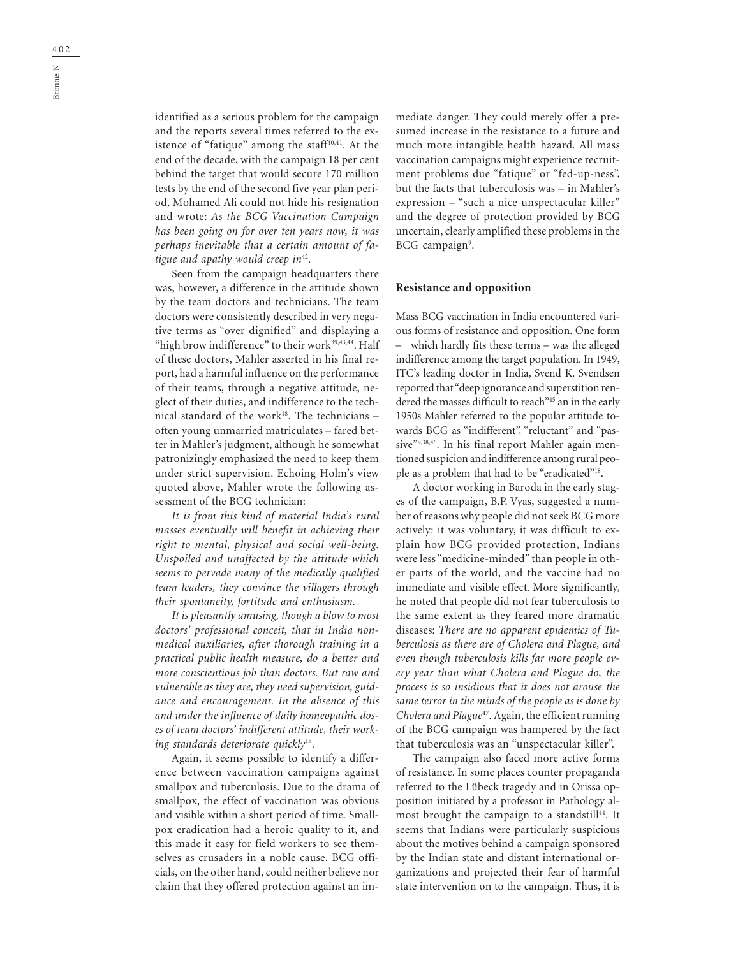identified as a serious problem for the campaign and the reports several times referred to the existence of "fatique" among the staff $40,41$ . At the end of the decade, with the campaign 18 per cent behind the target that would secure 170 million tests by the end of the second five year plan period, Mohamed Ali could not hide his resignation and wrote: As the BCG Vaccination Campaign has been going on for over ten years now, it was perhaps inevitable that a certain amount of fatigue and apathy would creep in $42$ .

Seen from the campaign headquarters there was, however, a difference in the attitude shown by the team doctors and technicians. The team doctors were consistently described in very negative terms as "over dignified" and displaying a "high brow indifference" to their work<sup>39,43,44</sup>. Half of these doctors, Mahler asserted in his final report, had a harmful influence on the performance of their teams, through a negative attitude, neglect of their duties, and indifference to the technical standard of the work $18$ . The technicians often young unmarried matriculates – fared better in Mahler's judgment, although he somewhat patronizingly emphasized the need to keep them under strict supervision. Echoing Holm's view quoted above, Mahler wrote the following assessment of the BCG technician:

It is from this kind of material India's rural masses eventually will benefit in achieving their right to mental, physical and social well-being. Unspoiled and unaffected by the attitude which seems to pervade many of the medically qualified team leaders, they convince the villagers through their spontaneity, fortitude and enthusiasm.

It is pleasantly amusing, though a blow to most doctors' professional conceit, that in India nonmedical auxiliaries, after thorough training in a practical public health measure, do a better and more conscientious job than doctors. But raw and vulnerable as they are, they need supervision, guidance and encouragement. In the absence of this and under the influence of daily homeopathic doses of team doctors' indifferent attitude, their working standards deteriorate quickly $18$ .

Again, it seems possible to identify a difference between vaccination campaigns against smallpox and tuberculosis. Due to the drama of smallpox, the effect of vaccination was obvious and visible within a short period of time. Smallpox eradication had a heroic quality to it, and this made it easy for field workers to see themselves as crusaders in a noble cause. BCG officials, on the other hand, could neither believe nor claim that they offered protection against an im-

mediate danger. They could merely offer a presumed increase in the resistance to a future and much more intangible health hazard. All mass vaccination campaigns might experience recruitment problems due "fatique" or "fed-up-ness", but the facts that tuberculosis was – in Mahler's expression – "such a nice unspectacular killer" and the degree of protection provided by BCG uncertain, clearly amplified these problems in the BCG campaign<sup>9</sup>.

#### Resistance and opposition

Mass BCG vaccination in India encountered various forms of resistance and opposition. One form – which hardly fits these terms – was the alleged indifference among the target population. In 1949, ITC's leading doctor in India, Svend K. Svendsen reported that "deep ignorance and superstition rendered the masses difficult to reach"45 an in the early 1950s Mahler referred to the popular attitude towards BCG as "indifferent", "reluctant" and "passive"9,38,46. In his final report Mahler again mentioned suspicion and indifference among rural people as a problem that had to be "eradicated"<sup>18</sup>.

A doctor working in Baroda in the early stages of the campaign, B.P. Vyas, suggested a number of reasons why people did not seek BCG more actively: it was voluntary, it was difficult to explain how BCG provided protection, Indians were less "medicine-minded" than people in other parts of the world, and the vaccine had no immediate and visible effect. More significantly, he noted that people did not fear tuberculosis to the same extent as they feared more dramatic diseases: There are no apparent epidemics of Tuberculosis as there are of Cholera and Plague, and even though tuberculosis kills far more people every year than what Cholera and Plague do, the process is so insidious that it does not arouse the same terror in the minds of the people as is done by Cholera and Plague<sup>47</sup>. Again, the efficient running of the BCG campaign was hampered by the fact that tuberculosis was an "unspectacular killer".

The campaign also faced more active forms of resistance. In some places counter propaganda referred to the Lübeck tragedy and in Orissa opposition initiated by a professor in Pathology almost brought the campaign to a standstill<sup>44</sup>. It seems that Indians were particularly suspicious about the motives behind a campaign sponsored by the Indian state and distant international organizations and projected their fear of harmful state intervention on to the campaign. Thus, it is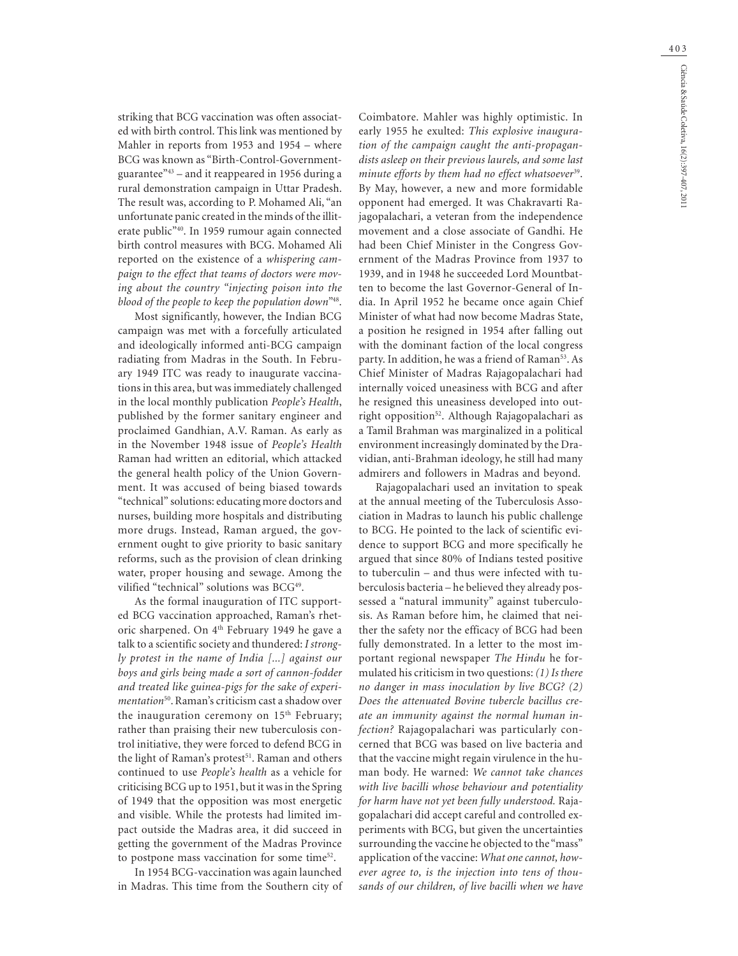striking that BCG vaccination was often associated with birth control. This link was mentioned by Mahler in reports from 1953 and 1954 – where BCG was known as "Birth-Control-Governmentguarantee"<sup>43</sup> – and it reappeared in 1956 during a rural demonstration campaign in Uttar Pradesh. The result was, according to P. Mohamed Ali, "an unfortunate panic created in the minds of the illiterate public"<sup>40</sup>. In 1959 rumour again connected birth control measures with BCG. Mohamed Ali reported on the existence of a whispering campaign to the effect that teams of doctors were moving about the country "injecting poison into the blood of the people to keep the population down"48.

Most significantly, however, the Indian BCG campaign was met with a forcefully articulated and ideologically informed anti-BCG campaign radiating from Madras in the South. In February 1949 ITC was ready to inaugurate vaccinations in this area, but was immediately challenged in the local monthly publication People's Health, published by the former sanitary engineer and proclaimed Gandhian, A.V. Raman. As early as in the November 1948 issue of People's Health Raman had written an editorial, which attacked the general health policy of the Union Government. It was accused of being biased towards "technical" solutions: educating more doctors and nurses, building more hospitals and distributing more drugs. Instead, Raman argued, the government ought to give priority to basic sanitary reforms, such as the provision of clean drinking water, proper housing and sewage. Among the vilified "technical" solutions was BCG<sup>49</sup>.

As the formal inauguration of ITC supported BCG vaccination approached, Raman's rhetoric sharpened. On 4th February 1949 he gave a talk to a scientific society and thundered: I strongly protest in the name of India [...] against our boys and girls being made a sort of cannon-fodder and treated like guinea-pigs for the sake of experimentation<sup>50</sup>. Raman's criticism cast a shadow over the inauguration ceremony on  $15<sup>th</sup>$  February; rather than praising their new tuberculosis control initiative, they were forced to defend BCG in the light of Raman's protest<sup>51</sup>. Raman and others continued to use People's health as a vehicle for criticising BCG up to 1951, but it was in the Spring of 1949 that the opposition was most energetic and visible. While the protests had limited impact outside the Madras area, it did succeed in getting the government of the Madras Province to postpone mass vaccination for some time<sup>52</sup>.

In 1954 BCG-vaccination was again launched in Madras. This time from the Southern city of

Coimbatore. Mahler was highly optimistic. In early 1955 he exulted: This explosive inauguration of the campaign caught the anti-propagandists asleep on their previous laurels, and some last minute efforts by them had no effect whatsoever $39$ . By May, however, a new and more formidable opponent had emerged. It was Chakravarti Rajagopalachari, a veteran from the independence movement and a close associate of Gandhi. He had been Chief Minister in the Congress Government of the Madras Province from 1937 to 1939, and in 1948 he succeeded Lord Mountbatten to become the last Governor-General of India. In April 1952 he became once again Chief Minister of what had now become Madras State, a position he resigned in 1954 after falling out with the dominant faction of the local congress party. In addition, he was a friend of Raman<sup>53</sup>. As Chief Minister of Madras Rajagopalachari had internally voiced uneasiness with BCG and after he resigned this uneasiness developed into outright opposition<sup>52</sup>. Although Rajagopalachari as a Tamil Brahman was marginalized in a political environment increasingly dominated by the Dravidian, anti-Brahman ideology, he still had many admirers and followers in Madras and beyond.

Rajagopalachari used an invitation to speak at the annual meeting of the Tuberculosis Association in Madras to launch his public challenge to BCG. He pointed to the lack of scientific evidence to support BCG and more specifically he argued that since 80% of Indians tested positive to tuberculin – and thus were infected with tuberculosis bacteria – he believed they already possessed a "natural immunity" against tuberculosis. As Raman before him, he claimed that neither the safety nor the efficacy of BCG had been fully demonstrated. In a letter to the most important regional newspaper The Hindu he formulated his criticism in two questions:  $(1)$  Is there no danger in mass inoculation by live BCG? (2) Does the attenuated Bovine tubercle bacillus create an immunity against the normal human infection? Rajagopalachari was particularly concerned that BCG was based on live bacteria and that the vaccine might regain virulence in the human body. He warned: We cannot take chances with live bacilli whose behaviour and potentiality for harm have not yet been fully understood. Rajagopalachari did accept careful and controlled experiments with BCG, but given the uncertainties surrounding the vaccine he objected to the "mass" application of the vaccine: What one cannot, however agree to, is the injection into tens of thousands of our children, of live bacilli when we have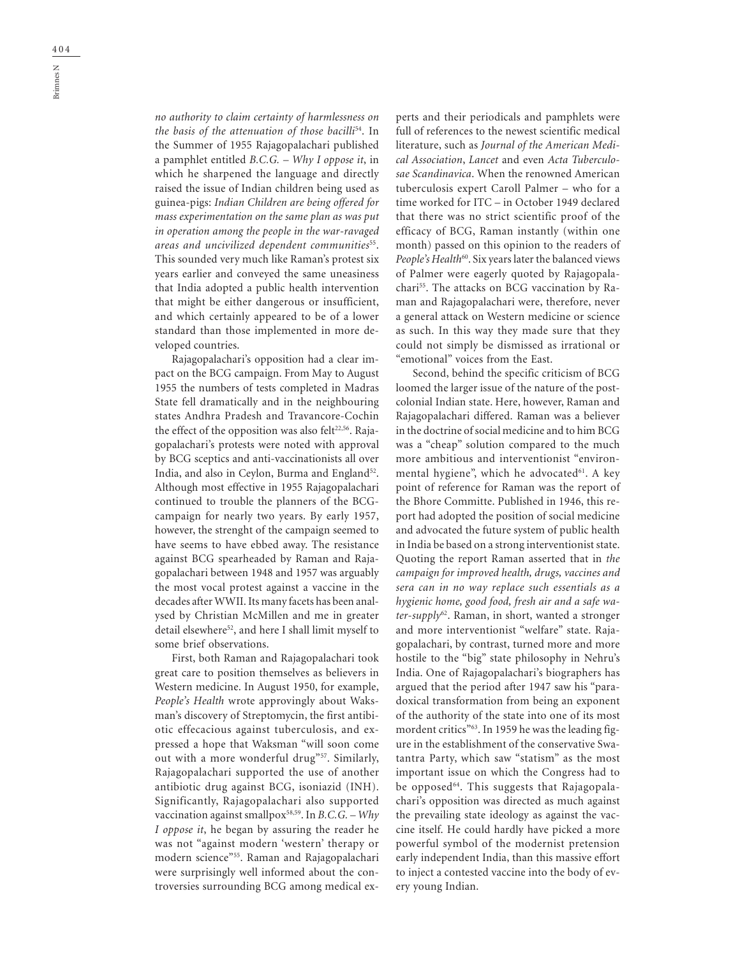no authority to claim certainty of harmlessness on the basis of the attenuation of those bacilli<sup>54</sup>. In the Summer of 1955 Rajagopalachari published a pamphlet entitled B.C.G. – Why I oppose it, in which he sharpened the language and directly raised the issue of Indian children being used as guinea-pigs: Indian Children are being offered for mass experimentation on the same plan as was put in operation among the people in the war-ravaged areas and uncivilized dependent communities<sup>55</sup>. This sounded very much like Raman's protest six years earlier and conveyed the same uneasiness that India adopted a public health intervention that might be either dangerous or insufficient, and which certainly appeared to be of a lower standard than those implemented in more developed countries.

Rajagopalachari's opposition had a clear impact on the BCG campaign. From May to August 1955 the numbers of tests completed in Madras State fell dramatically and in the neighbouring states Andhra Pradesh and Travancore-Cochin the effect of the opposition was also felt<sup>22,56</sup>. Rajagopalachari's protests were noted with approval by BCG sceptics and anti-vaccinationists all over India, and also in Ceylon, Burma and England<sup>52</sup>. Although most effective in 1955 Rajagopalachari continued to trouble the planners of the BCGcampaign for nearly two years. By early 1957, however, the strenght of the campaign seemed to have seems to have ebbed away. The resistance against BCG spearheaded by Raman and Rajagopalachari between 1948 and 1957 was arguably the most vocal protest against a vaccine in the decades after WWII. Its many facets has been analysed by Christian McMillen and me in greater detail elsewhere<sup>52</sup>, and here I shall limit myself to some brief observations.

First, both Raman and Rajagopalachari took great care to position themselves as believers in Western medicine. In August 1950, for example, People's Health wrote approvingly about Waksman's discovery of Streptomycin, the first antibiotic effecacious against tuberculosis, and expressed a hope that Waksman "will soon come out with a more wonderful drug"<sup>57</sup>. Similarly, Rajagopalachari supported the use of another antibiotic drug against BCG, isoniazid (INH). Significantly, Rajagopalachari also supported vaccination against smallpox<sup>58,59</sup>. In *B.C.G.* – Why I oppose it, he began by assuring the reader he was not "against modern 'western' therapy or modern science"<sup>55</sup>. Raman and Rajagopalachari were surprisingly well informed about the controversies surrounding BCG among medical ex-

perts and their periodicals and pamphlets were full of references to the newest scientific medical literature, such as Journal of the American Medical Association, Lancet and even Acta Tuberculosae Scandinavica. When the renowned American tuberculosis expert Caroll Palmer – who for a time worked for ITC – in October 1949 declared that there was no strict scientific proof of the efficacy of BCG, Raman instantly (within one month) passed on this opinion to the readers of People's Health<sup>60</sup>. Six years later the balanced views of Palmer were eagerly quoted by Rajagopalachari<sup>55</sup>. The attacks on BCG vaccination by Raman and Rajagopalachari were, therefore, never a general attack on Western medicine or science as such. In this way they made sure that they could not simply be dismissed as irrational or "emotional" voices from the East.

Second, behind the specific criticism of BCG loomed the larger issue of the nature of the postcolonial Indian state. Here, however, Raman and Rajagopalachari differed. Raman was a believer in the doctrine of social medicine and to him BCG was a "cheap" solution compared to the much more ambitious and interventionist "environmental hygiene", which he advocated<sup>61</sup>. A key point of reference for Raman was the report of the Bhore Committe. Published in 1946, this report had adopted the position of social medicine and advocated the future system of public health in India be based on a strong interventionist state. Quoting the report Raman asserted that in the campaign for improved health, drugs, vaccines and sera can in no way replace such essentials as a hygienic home, good food, fresh air and a safe wa $ter-supply$ <sup>62</sup>. Raman, in short, wanted a stronger and more interventionist "welfare" state. Rajagopalachari, by contrast, turned more and more hostile to the "big" state philosophy in Nehru's India. One of Rajagopalachari's biographers has argued that the period after 1947 saw his "paradoxical transformation from being an exponent of the authority of the state into one of its most mordent critics"<sup>63</sup>. In 1959 he was the leading figure in the establishment of the conservative Swatantra Party, which saw "statism" as the most important issue on which the Congress had to be opposed<sup>64</sup>. This suggests that Rajagopalachari's opposition was directed as much against the prevailing state ideology as against the vaccine itself. He could hardly have picked a more powerful symbol of the modernist pretension early independent India, than this massive effort to inject a contested vaccine into the body of every young Indian.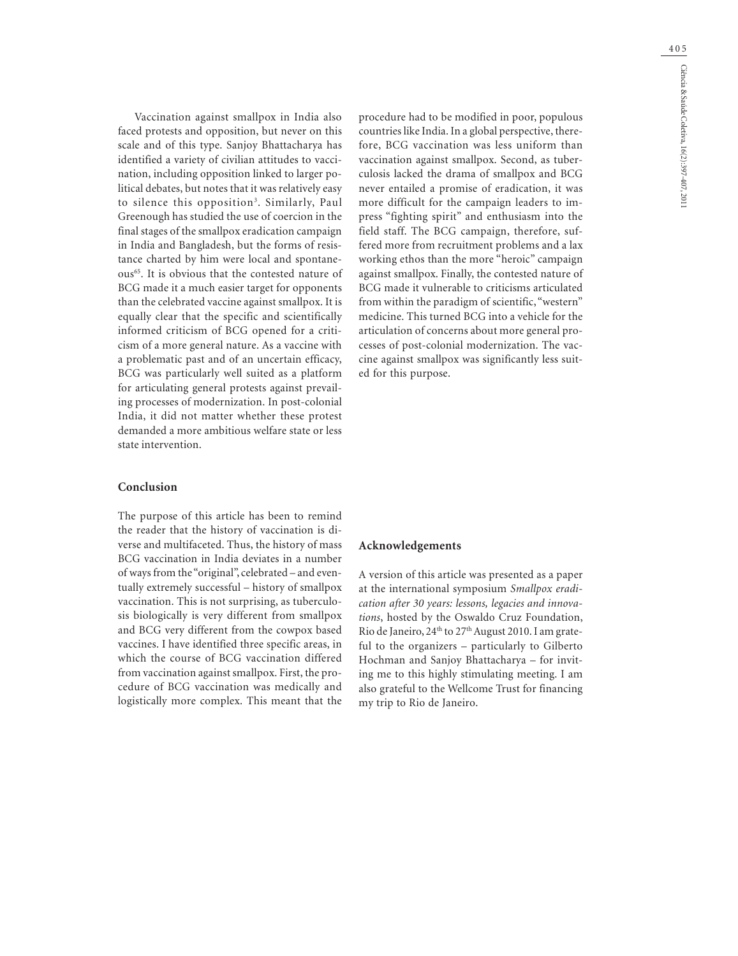Vaccination against smallpox in India also faced protests and opposition, but never on this scale and of this type. Sanjoy Bhattacharya has identified a variety of civilian attitudes to vaccination, including opposition linked to larger political debates, but notes that it was relatively easy to silence this opposition<sup>3</sup>. Similarly, Paul Greenough has studied the use of coercion in the final stages of the smallpox eradication campaign in India and Bangladesh, but the forms of resistance charted by him were local and spontaneous<sup>65</sup>. It is obvious that the contested nature of BCG made it a much easier target for opponents than the celebrated vaccine against smallpox. It is equally clear that the specific and scientifically informed criticism of BCG opened for a criticism of a more general nature. As a vaccine with a problematic past and of an uncertain efficacy, BCG was particularly well suited as a platform for articulating general protests against prevailing processes of modernization. In post-colonial India, it did not matter whether these protest demanded a more ambitious welfare state or less state intervention.

# Conclusion

The purpose of this article has been to remind the reader that the history of vaccination is diverse and multifaceted. Thus, the history of mass BCG vaccination in India deviates in a number of ways from the "original", celebrated – and eventually extremely successful – history of smallpox vaccination. This is not surprising, as tuberculosis biologically is very different from smallpox and BCG very different from the cowpox based vaccines. I have identified three specific areas, in which the course of BCG vaccination differed from vaccination against smallpox. First, the procedure of BCG vaccination was medically and logistically more complex. This meant that the

procedure had to be modified in poor, populous countries like India. In a global perspective, therefore, BCG vaccination was less uniform than vaccination against smallpox. Second, as tuberculosis lacked the drama of smallpox and BCG never entailed a promise of eradication, it was more difficult for the campaign leaders to impress "fighting spirit" and enthusiasm into the field staff. The BCG campaign, therefore, suffered more from recruitment problems and a lax working ethos than the more "heroic" campaign against smallpox. Finally, the contested nature of BCG made it vulnerable to criticisms articulated from within the paradigm of scientific, "western" medicine. This turned BCG into a vehicle for the articulation of concerns about more general processes of post-colonial modernization. The vaccine against smallpox was significantly less suited for this purpose.

## Acknowledgements

A version of this article was presented as a paper at the international symposium Smallpox eradication after 30 years: lessons, legacies and innovations, hosted by the Oswaldo Cruz Foundation, Rio de Janeiro, 24<sup>th</sup> to 27<sup>th</sup> August 2010. I am grateful to the organizers – particularly to Gilberto Hochman and Sanjoy Bhattacharya – for inviting me to this highly stimulating meeting. I am also grateful to the Wellcome Trust for financing my trip to Rio de Janeiro.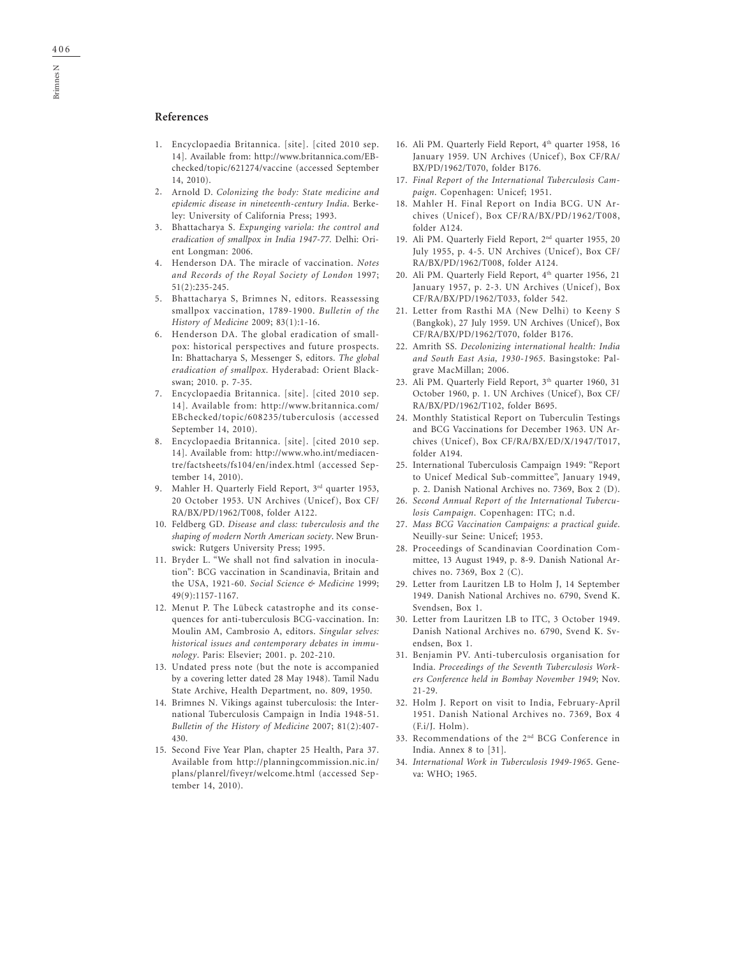#### References

- Encyclopaedia Britannica. [site]. [cited 2010 sep. 1. 14]. Available from: http://www.britannica.com/EBchecked/topic/621274/vaccine (accessed September 14, 2010).
- Arnold D. Colonizing the body: State medicine and 2. epidemic disease in nineteenth-century India. Berkeley: University of California Press; 1993.
- Bhattacharya S. Expunging variola: the control and 3. eradication of smallpox in India 1947-77. Delhi: Orient Longman: 2006.
- 4. Henderson DA. The miracle of vaccination. Notes and Records of the Royal Society of London 1997; 51(2):235-245.
- Bhattacharya S, Brimnes N, editors. Reassessing 5. smallpox vaccination, 1789-1900. Bulletin of the History of Medicine 2009; 83(1):1-16.
- Henderson DA. The global eradication of small-6. pox: historical perspectives and future prospects. In: Bhattacharya S, Messenger S, editors. The global eradication of smallpox. Hyderabad: Orient Blackswan; 2010. p. 7-35.
- Encyclopaedia Britannica. [site]. [cited 2010 sep. 7. 14]. Available from: http://www.britannica.com/ EBchecked/topic/608235/tuberculosis (accessed September 14, 2010).
- Encyclopaedia Britannica. [site]. [cited 2010 sep. 8. 14]. Available from: http://www.who.int/mediacentre/factsheets/fs104/en/index.html (accessed September 14, 2010).
- 9. Mahler H. Quarterly Field Report, 3<sup>rd</sup> quarter 1953, 20 October 1953. UN Archives (Unicef), Box CF/ RA/BX/PD/1962/T008, folder A122.
- 10. Feldberg GD. Disease and class: tuberculosis and the shaping of modern North American society. New Brunswick: Rutgers University Press; 1995.
- 11. Bryder L. "We shall not find salvation in inoculation": BCG vaccination in Scandinavia, Britain and the USA, 1921-60. Social Science & Medicine 1999; 49(9):1157-1167.
- 12. Menut P. The Lübeck catastrophe and its consequences for anti-tuberculosis BCG-vaccination. In: Moulin AM, Cambrosio A, editors. Singular selves: historical issues and contemporary debates in immunology. Paris: Elsevier; 2001. p. 202-210.
- 13. Undated press note (but the note is accompanied by a covering letter dated 28 May 1948). Tamil Nadu State Archive, Health Department, no. 809, 1950.
- 14. Brimnes N. Vikings against tuberculosis: the International Tuberculosis Campaign in India 1948-51. Bulletin of the History of Medicine 2007; 81(2):407- 430.
- 15. Second Five Year Plan, chapter 25 Health, Para 37. Available from http://planningcommission.nic.in/ plans/planrel/fiveyr/welcome.html (accessed September 14, 2010).
- 16. Ali PM. Quarterly Field Report, 4<sup>th</sup> quarter 1958, 16 January 1959. UN Archives (Unicef), Box CF/RA/ BX/PD/1962/T070, folder B176.
- 17. Final Report of the International Tuberculosis Campaign. Copenhagen: Unicef; 1951.
- 18. Mahler H. Final Report on India BCG. UN Archives (Unicef), Box CF/RA/BX/PD/1962/T008, folder A124.
- 19. Ali PM. Quarterly Field Report, 2<sup>nd</sup> quarter 1955, 20 July 1955, p. 4-5. UN Archives (Unicef), Box CF/ RA/BX/PD/1962/T008, folder A124.
- 20. Ali PM. Quarterly Field Report, 4<sup>th</sup> quarter 1956, 21 January 1957, p. 2-3. UN Archives (Unicef), Box CF/RA/BX/PD/1962/T033, folder 542.
- 21. Letter from Rasthi MA (New Delhi) to Keeny S (Bangkok), 27 July 1959. UN Archives (Unicef), Box CF/RA/BX/PD/1962/T070, folder B176.
- 22. Amrith SS. Decolonizing international health: India and South East Asia, 1930-1965. Basingstoke: Palgrave MacMillan; 2006.
- 23. Ali PM. Quarterly Field Report, 3<sup>th</sup> quarter 1960, 31 October 1960, p. 1. UN Archives (Unicef), Box CF/ RA/BX/PD/1962/T102, folder B695.
- 24. Monthly Statistical Report on Tuberculin Testings and BCG Vaccinations for December 1963. UN Archives (Unicef), Box CF/RA/BX/ED/X/1947/T017, folder A194.
- 25. International Tuberculosis Campaign 1949: "Report to Unicef Medical Sub-committee", January 1949, p. 2. Danish National Archives no. 7369, Box 2 (D).
- 26. Second Annual Report of the International Tuberculosis Campaign. Copenhagen: ITC; n.d.
- Mass BCG Vaccination Campaigns: a practical guide. 27. Neuilly-sur Seine: Unicef; 1953.
- 28. Proceedings of Scandinavian Coordination Committee, 13 August 1949, p. 8-9. Danish National Archives no. 7369, Box 2 (C).
- Letter from Lauritzen LB to Holm J, 14 September 29. 1949. Danish National Archives no. 6790, Svend K. Svendsen, Box 1.
- Letter from Lauritzen LB to ITC, 3 October 1949. 30. Danish National Archives no. 6790, Svend K. Svendsen, Box 1.
- 31. Benjamin PV. Anti-tuberculosis organisation for India. Proceedings of the Seventh Tuberculosis Workers Conference held in Bombay November 1949; Nov. 21-29.
- 32. Holm J. Report on visit to India, February-April 1951. Danish National Archives no. 7369, Box 4 (F.i/J. Holm).
- 33. Recommendations of the 2<sup>nd</sup> BCG Conference in India. Annex 8 to [31].
- International Work in Tuberculosis 1949-1965. Gene-34. va: WHO; 1965.